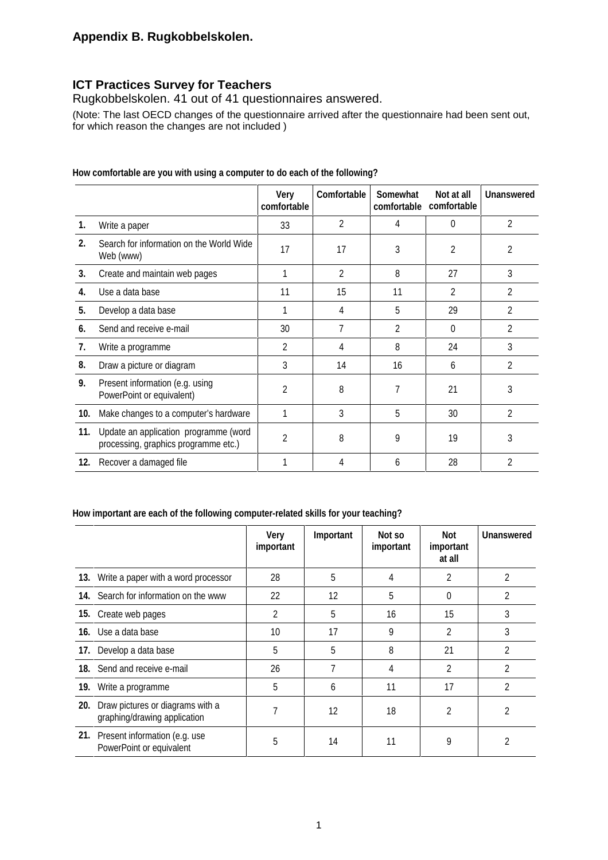### **Appendix B. Rugkobbelskolen.**

## **ICT Practices Survey for Teachers**

Rugkobbelskolen. 41 out of 41 questionnaires answered.

(Note: The last OECD changes of the questionnaire arrived after the questionnaire had been sent out, for which reason the changes are not included )

|     |                                                                               | Very<br>comfortable | Comfortable    | Somewhat<br>comfortable | Not at all<br>comfortable | <b>Unanswered</b> |
|-----|-------------------------------------------------------------------------------|---------------------|----------------|-------------------------|---------------------------|-------------------|
| 1.  | Write a paper                                                                 | 33                  | $\overline{2}$ | 4                       | $\Omega$                  | $\overline{2}$    |
| 2.  | Search for information on the World Wide<br>Web (www)                         | 17                  | 17             | 3                       | 2                         | 2                 |
| 3.  | Create and maintain web pages                                                 |                     | $\overline{2}$ | 8                       | 27                        | 3                 |
| 4.  | Use a data base                                                               | 11                  | 15             | 11                      | 2                         | $\mathfrak{p}$    |
| 5.  | Develop a data base                                                           |                     | 4              | 5                       | 29                        | $\mathfrak{p}$    |
| 6.  | Send and receive e-mail                                                       | 30                  | 7              | 2                       | $\Omega$                  | 2                 |
| 7.  | Write a programme                                                             | 2                   | 4              | 8                       | 24                        | 3                 |
| 8.  | Draw a picture or diagram                                                     | 3                   | 14             | 16                      | 6                         | $\mathfrak{D}$    |
| 9.  | Present information (e.g. using<br>PowerPoint or equivalent)                  | $\mathfrak{p}$      | 8              | 7                       | 21                        | 3                 |
| 10. | Make changes to a computer's hardware                                         |                     | 3              | 5                       | 30                        | $\overline{2}$    |
| 11. | Update an application programme (word<br>processing, graphics programme etc.) | 2                   | 8              | 9                       | 19                        | 3                 |
| 12. | Recover a damaged file                                                        |                     | 4              | 6                       | 28                        | 2                 |

**How comfortable are you with using a computer to do each of the following?**

#### **How important are each of the following computer-related skills for your teaching?**

|     |                                                                  | <b>Very</b><br>important | Important | Not so<br>important | Not<br>important<br>at all | <b>Unanswered</b> |
|-----|------------------------------------------------------------------|--------------------------|-----------|---------------------|----------------------------|-------------------|
|     | 13. Write a paper with a word processor                          | 28                       | 5         | 4                   | 2                          | 2                 |
|     | 14. Search for information on the www                            | 22                       | 12        | 5                   | 0                          | $\mathfrak z$     |
|     | 15. Create web pages                                             | 2                        | 5         | 16                  | 15                         | 3                 |
|     | 16. Use a data base                                              | 10                       | 17        | 9                   | $\overline{2}$             | 3                 |
|     | 17. Develop a data base                                          | 5                        | 5         | 8                   | 21                         | $\overline{2}$    |
|     | 18. Send and receive e-mail                                      | 26                       | 7         | 4                   | $\overline{2}$             | 2                 |
|     | 19. Write a programme                                            | 5                        | 6         | 11                  | 17                         | 2                 |
| 20. | Draw pictures or diagrams with a<br>graphing/drawing application | 7                        | 12        | 18                  | 2                          | 2                 |
|     | 21. Present information (e.g. use<br>PowerPoint or equivalent    | 5                        | 14        | 11                  | 9                          |                   |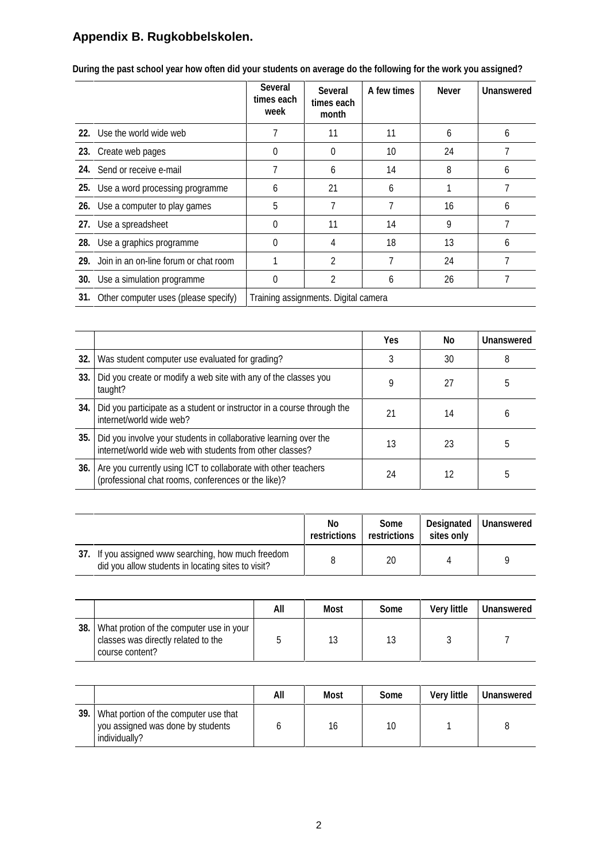# **Appendix B. Rugkobbelskolen.**

|                                           | <b>Several</b><br>times each<br>week | <b>Several</b><br>times each<br>month | A few times | <b>Never</b> | <b>Unanswered</b> |  |  |  |
|-------------------------------------------|--------------------------------------|---------------------------------------|-------------|--------------|-------------------|--|--|--|
| 22. Use the world wide web                | 7                                    | 11                                    | 11          | 6            | 6                 |  |  |  |
| 23. Create web pages                      | 0                                    | $\Omega$                              | 10          | 24           |                   |  |  |  |
| 24. Send or receive e-mail                | 7                                    | 6                                     | 14          | 8            | 6                 |  |  |  |
| 25. Use a word processing programme       | 6                                    | 21                                    | 6           |              | 7                 |  |  |  |
| 26. Use a computer to play games          | 5                                    |                                       |             | 16           | 6                 |  |  |  |
| 27. Use a spreadsheet                     | 0                                    | 11                                    | 14          | 9            |                   |  |  |  |
| 28. Use a graphics programme              | 0                                    | 4                                     | 18          | 13           | 6                 |  |  |  |
| 29. Join in an on-line forum or chat room |                                      | 2                                     | 7           | 24           |                   |  |  |  |
| 30. Use a simulation programme            | 0                                    | 2                                     | 6           | 26           |                   |  |  |  |
| 31. Other computer uses (please specify)  | Training assignments. Digital camera |                                       |             |              |                   |  |  |  |

**During the past school year how often did your students on average do the following for the work you assigned?**

|     |                                                                                                                               | <b>Yes</b> | No | <b>Unanswered</b> |
|-----|-------------------------------------------------------------------------------------------------------------------------------|------------|----|-------------------|
| 32. | Was student computer use evaluated for grading?                                                                               |            | 30 | 8                 |
| 33. | Did you create or modify a web site with any of the classes you<br>taught?                                                    |            | 27 |                   |
| 34. | Did you participate as a student or instructor in a course through the<br>internet/world wide web?                            | 21         | 14 | h                 |
| 35. | Did you involve your students in collaborative learning over the<br>internet/world wide web with students from other classes? | 13         | 23 | 5                 |
| 36. | Are you currently using ICT to collaborate with other teachers<br>(professional chat rooms, conferences or the like)?         | 24         | 12 |                   |

|                                                                                                           | No<br>restrictions | Some<br>restrictions | sites only | Designated   Unanswered |
|-----------------------------------------------------------------------------------------------------------|--------------------|----------------------|------------|-------------------------|
| 37. If you assigned www searching, how much freedom<br>did you allow students in locating sites to visit? |                    | 20                   |            |                         |

|     |                                                                                                    | All | Most | Some | <b>Very little</b> | <b>Unanswered</b> |
|-----|----------------------------------------------------------------------------------------------------|-----|------|------|--------------------|-------------------|
| 38. | What protion of the computer use in your<br>classes was directly related to the<br>course content? |     | 13   | 13   |                    |                   |

|      |                                                                                             | All | Most | Some | <b>Very little</b> | <b>Unanswered</b> |
|------|---------------------------------------------------------------------------------------------|-----|------|------|--------------------|-------------------|
| 39.1 | What portion of the computer use that<br>you assigned was done by students<br>individually? |     | 16   | 10   |                    |                   |